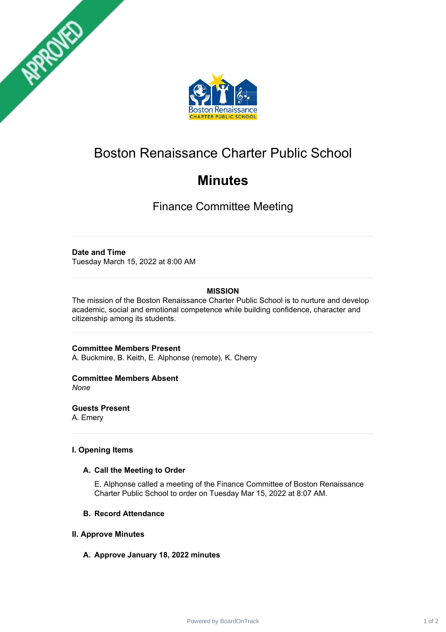



# Boston Renaissance Charter Public School

# **Minutes**

Finance Committee Meeting

# **Date and Time**

Tuesday March 15, 2022 at 8:00 AM

# **MISSION**

The mission of the Boston Renaissance Charter Public School is to nurture and develop academic, social and emotional competence while building confidence, character and citizenship among its students.

**Committee Members Present** A. Buckmire, B. Keith, E. Alphonse (remote), K. Cherry

# **Committee Members Absent**

*None*

**Guests Present**

A. Emery

### **I. Opening Items**

#### **A. Call the Meeting to Order**

E. Alphonse called a meeting of the Finance Committee of Boston Renaissance Charter Public School to order on Tuesday Mar 15, 2022 at 8:07 AM.

#### **B. Record Attendance**

#### **II. Approve Minutes**

# **A. Approve January 18, 2022 minutes**